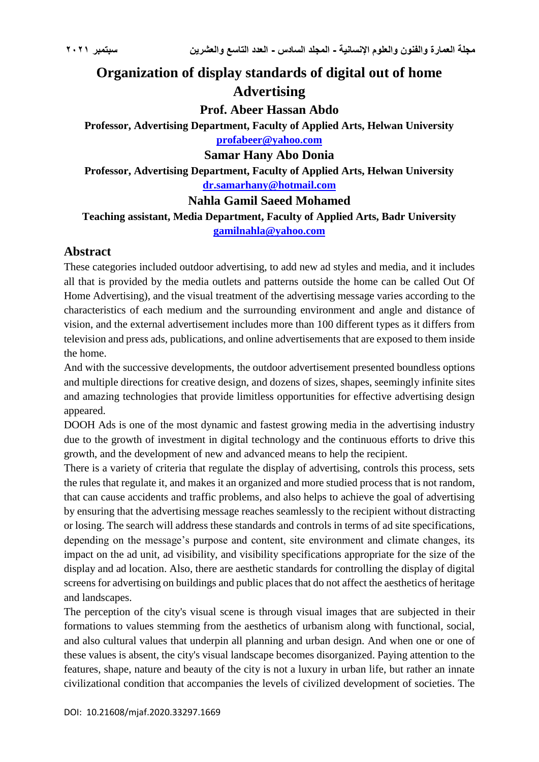# **Organization of display standards of digital out of home Advertising**

**Prof. Abeer Hassan Abdo**

**Professor, Advertising Department, Faculty of Applied Arts, Helwan University [profabeer@yahoo.com](mailto:profabeer@yahoo.com)**

#### **Samar Hany Abo Donia**

**Professor, Advertising Department, Faculty of Applied Arts, Helwan University [dr.samarhany@hotmail.com](mailto:dr.samarhany@hotmail.com)**

#### **Nahla Gamil Saeed Mohamed**

**Teaching assistant, Media Department, Faculty of Applied Arts, Badr University [gamilnahla@yahoo.com](mailto:gamilnahla@yahoo.com)**

#### **Abstract**

These categories included outdoor advertising, to add new ad styles and media, and it includes all that is provided by the media outlets and patterns outside the home can be called Out Of Home Advertising), and the visual treatment of the advertising message varies according to the characteristics of each medium and the surrounding environment and angle and distance of vision, and the external advertisement includes more than 100 different types as it differs from television and press ads, publications, and online advertisements that are exposed to them inside the home.

And with the successive developments, the outdoor advertisement presented boundless options and multiple directions for creative design, and dozens of sizes, shapes, seemingly infinite sites and amazing technologies that provide limitless opportunities for effective advertising design appeared.

DOOH Ads is one of the most dynamic and fastest growing media in the advertising industry due to the growth of investment in digital technology and the continuous efforts to drive this growth, and the development of new and advanced means to help the recipient.

There is a variety of criteria that regulate the display of advertising, controls this process, sets the rules that regulate it, and makes it an organized and more studied process that is not random, that can cause accidents and traffic problems, and also helps to achieve the goal of advertising by ensuring that the advertising message reaches seamlessly to the recipient without distracting or losing. The search will address these standards and controls in terms of ad site specifications, depending on the message's purpose and content, site environment and climate changes, its impact on the ad unit, ad visibility, and visibility specifications appropriate for the size of the display and ad location. Also, there are aesthetic standards for controlling the display of digital screens for advertising on buildings and public places that do not affect the aesthetics of heritage and landscapes.

The perception of the city's visual scene is through visual images that are subjected in their formations to values stemming from the aesthetics of urbanism along with functional, social, and also cultural values that underpin all planning and urban design. And when one or one of these values is absent, the city's visual landscape becomes disorganized. Paying attention to the features, shape, nature and beauty of the city is not a luxury in urban life, but rather an innate civilizational condition that accompanies the levels of civilized development of societies. The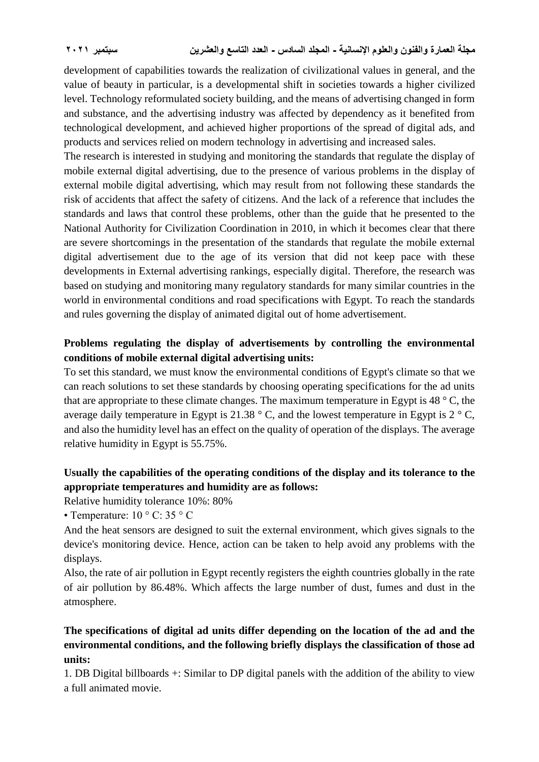development of capabilities towards the realization of civilizational values in general, and the value of beauty in particular, is a developmental shift in societies towards a higher civilized level. Technology reformulated society building, and the means of advertising changed in form and substance, and the advertising industry was affected by dependency as it benefited from technological development, and achieved higher proportions of the spread of digital ads, and products and services relied on modern technology in advertising and increased sales.

The research is interested in studying and monitoring the standards that regulate the display of mobile external digital advertising, due to the presence of various problems in the display of external mobile digital advertising, which may result from not following these standards the risk of accidents that affect the safety of citizens. And the lack of a reference that includes the standards and laws that control these problems, other than the guide that he presented to the National Authority for Civilization Coordination in 2010, in which it becomes clear that there are severe shortcomings in the presentation of the standards that regulate the mobile external digital advertisement due to the age of its version that did not keep pace with these developments in External advertising rankings, especially digital. Therefore, the research was based on studying and monitoring many regulatory standards for many similar countries in the world in environmental conditions and road specifications with Egypt. To reach the standards and rules governing the display of animated digital out of home advertisement.

# **Problems regulating the display of advertisements by controlling the environmental conditions of mobile external digital advertising units:**

To set this standard, we must know the environmental conditions of Egypt's climate so that we can reach solutions to set these standards by choosing operating specifications for the ad units that are appropriate to these climate changes. The maximum temperature in Egypt is  $48^\circ$  C, the average daily temperature in Egypt is 21.38  $\degree$  C, and the lowest temperature in Egypt is 2  $\degree$  C, and also the humidity level has an effect on the quality of operation of the displays. The average relative humidity in Egypt is 55.75%.

# **Usually the capabilities of the operating conditions of the display and its tolerance to the appropriate temperatures and humidity are as follows:**

Relative humidity tolerance 10%: 80%

• Temperature: 10 ° C: 35 ° C

And the heat sensors are designed to suit the external environment, which gives signals to the device's monitoring device. Hence, action can be taken to help avoid any problems with the displays.

Also, the rate of air pollution in Egypt recently registers the eighth countries globally in the rate of air pollution by 86.48%. Which affects the large number of dust, fumes and dust in the atmosphere.

# **The specifications of digital ad units differ depending on the location of the ad and the environmental conditions, and the following briefly displays the classification of those ad units:**

1. DB Digital billboards +: Similar to DP digital panels with the addition of the ability to view a full animated movie.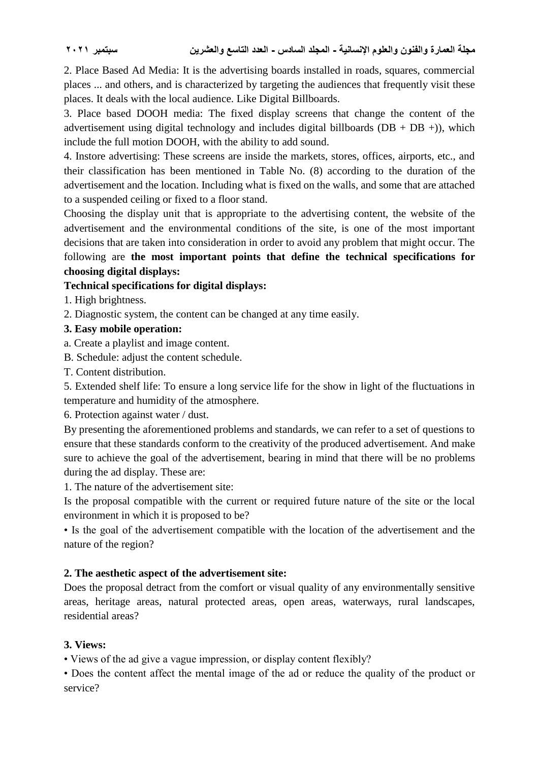2. Place Based Ad Media: It is the advertising boards installed in roads, squares, commercial places ... and others, and is characterized by targeting the audiences that frequently visit these places. It deals with the local audience. Like Digital Billboards.

3. Place based DOOH media: The fixed display screens that change the content of the advertisement using digital technology and includes digital billboards ( $DB + DB +$ )), which include the full motion DOOH, with the ability to add sound.

4. Instore advertising: These screens are inside the markets, stores, offices, airports, etc., and their classification has been mentioned in Table No. (8) according to the duration of the advertisement and the location. Including what is fixed on the walls, and some that are attached to a suspended ceiling or fixed to a floor stand.

Choosing the display unit that is appropriate to the advertising content, the website of the advertisement and the environmental conditions of the site, is one of the most important decisions that are taken into consideration in order to avoid any problem that might occur. The following are **the most important points that define the technical specifications for choosing digital displays:**

#### **Technical specifications for digital displays:**

- 1. High brightness.
- 2. Diagnostic system, the content can be changed at any time easily.

#### **3. Easy mobile operation:**

- a. Create a playlist and image content.
- B. Schedule: adjust the content schedule.
- T. Content distribution.

5. Extended shelf life: To ensure a long service life for the show in light of the fluctuations in temperature and humidity of the atmosphere.

6. Protection against water / dust.

By presenting the aforementioned problems and standards, we can refer to a set of questions to ensure that these standards conform to the creativity of the produced advertisement. And make sure to achieve the goal of the advertisement, bearing in mind that there will be no problems during the ad display. These are:

1. The nature of the advertisement site:

Is the proposal compatible with the current or required future nature of the site or the local environment in which it is proposed to be?

• Is the goal of the advertisement compatible with the location of the advertisement and the nature of the region?

### **2. The aesthetic aspect of the advertisement site:**

Does the proposal detract from the comfort or visual quality of any environmentally sensitive areas, heritage areas, natural protected areas, open areas, waterways, rural landscapes, residential areas?

### **3. Views:**

• Views of the ad give a vague impression, or display content flexibly?

• Does the content affect the mental image of the ad or reduce the quality of the product or service?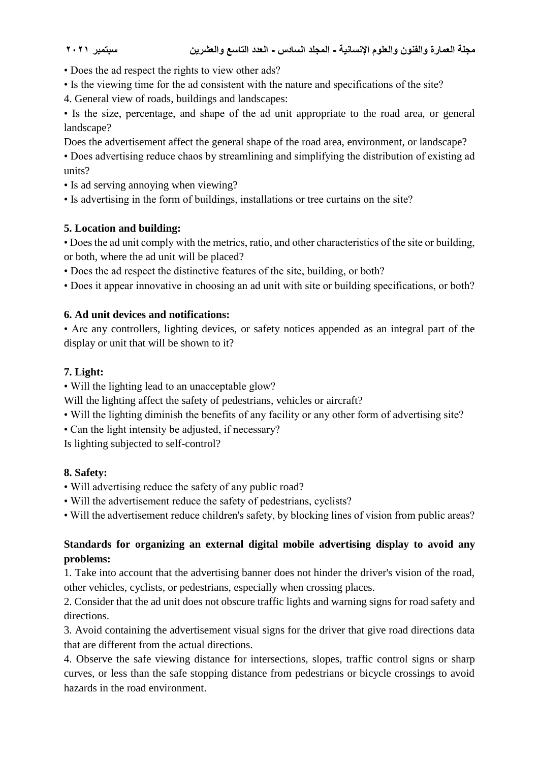- Does the ad respect the rights to view other ads?
- Is the viewing time for the ad consistent with the nature and specifications of the site?
- 4. General view of roads, buildings and landscapes:

• Is the size, percentage, and shape of the ad unit appropriate to the road area, or general landscape?

Does the advertisement affect the general shape of the road area, environment, or landscape?

- Does advertising reduce chaos by streamlining and simplifying the distribution of existing ad units?
- Is ad serving annoying when viewing?
- Is advertising in the form of buildings, installations or tree curtains on the site?

### **5. Location and building:**

• Does the ad unit comply with the metrics, ratio, and other characteristics of the site or building, or both, where the ad unit will be placed?

- Does the ad respect the distinctive features of the site, building, or both?
- Does it appear innovative in choosing an ad unit with site or building specifications, or both?

#### **6. Ad unit devices and notifications:**

• Are any controllers, lighting devices, or safety notices appended as an integral part of the display or unit that will be shown to it?

#### **7. Light:**

• Will the lighting lead to an unacceptable glow?

Will the lighting affect the safety of pedestrians, vehicles or aircraft?

- Will the lighting diminish the benefits of any facility or any other form of advertising site?
- Can the light intensity be adjusted, if necessary?

Is lighting subjected to self-control?

### **8. Safety:**

- Will advertising reduce the safety of any public road?
- Will the advertisement reduce the safety of pedestrians, cyclists?
- Will the advertisement reduce children's safety, by blocking lines of vision from public areas?

### **Standards for organizing an external digital mobile advertising display to avoid any problems:**

1. Take into account that the advertising banner does not hinder the driver's vision of the road, other vehicles, cyclists, or pedestrians, especially when crossing places.

2. Consider that the ad unit does not obscure traffic lights and warning signs for road safety and directions.

3. Avoid containing the advertisement visual signs for the driver that give road directions data that are different from the actual directions.

4. Observe the safe viewing distance for intersections, slopes, traffic control signs or sharp curves, or less than the safe stopping distance from pedestrians or bicycle crossings to avoid hazards in the road environment.